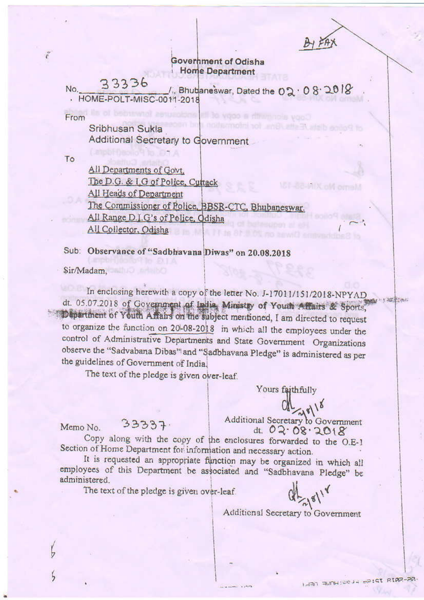### Government of Odisha **Home Department**

33336 No. /., Bhubaneswar, Dated the 02 . 08 . 2018 - HOME-POLT-MISC-0011-2018

From

 $\tilde{\epsilon}$ 

Sribhusan Sukla Additional Secretary to Government

To

All Departments of Govt. The D.G. & I.G of Police, Cuttack All Heads of Department The Commissioner of Police, BBSR-CTC, Bhubaneswar. All Range D.J.G's of Police, Odisha All Collector, Odisha

Sub: Observance of "Sadbhavana Diwas" on 20.08.2018

Sir/Madam.

Memo No.

In enclosing herewith a copy of the letter No. J-17011/151/2018-NPYAD dt. 05.07.2018 of Government of India, Ministry of Youth Affairs & Sports, Department of Youth Affairs on the subject mentioned, I am directed to request to organize the function on 20-08-2018 in which all the employees under the control of Administrative Departments and State Government Organizations observe the "Sadvabana Dibas" and "Sadbhavana Pledge" is administered as per the guidelines of Government of India.

The text of the pledge is given over-leaf.

 $33337.$ 

Yours faithfully

 $38118$ 

Additional Secretary to Government dt. 02.08.2018

Copy along with the copy of the enclosures forwarded to the O.E-1 Section of Home Department for information and necessary action.

It is requested an appropriate function may be organized in which all employees of this Department be associated and "Sadbhavana Pledge" be administered.

The text of the pledge is given over-leaf.

Additional Secretary to Government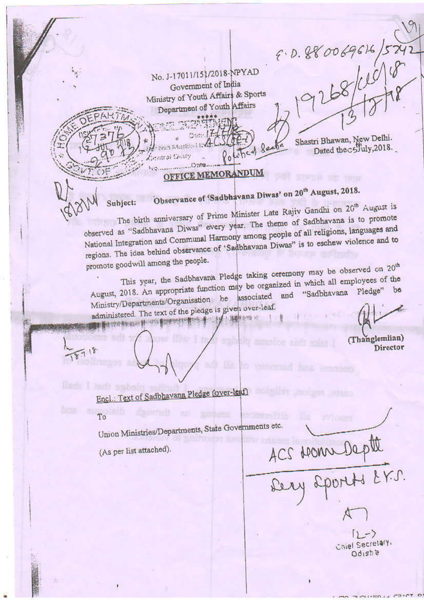No. J-17011/151/2018-NPYAD Government of India Ministry of Youth Affairs & Sports Department of Youth Affairs

OFFICE MEMORANDUM

Brita Bantino Hold

Shastri Bhawan, New Delhi.<br>Dated the c5fuly, 2018.

F.D. 880069616/5242

# Observance of 'Sadbhavana Diwas' on 20<sup>th</sup> August, 2018.

olutical Sa

The birth anniversary of Prime Minister Late Rajiv Gandhi on 20<sup>th</sup> August is observed as "Sadbhavana Diwas" every year. The theme of Sadbhavana is to promote National Integration and Communal Harmony among people of all religions, languages and regions. The idea behind observance of 'Sadbhavana Diwas" is to eschew violence and to promote goodwill among the people.

This year, the Sadbhavana Pledge taking ceremony may be observed on 20<sup>th</sup> August, 2018. An appropriate function may be organized in which all employees of the Ministry/Departments/Organisation be associated and "Sadbhavana Pledge" be administered. The text of the piedge is given over-leaf.

建設数数数的料 中容 第2009年10月21日 4 119 12月 13日 12:00 ×

(Thanglemlian) Director

Encl.: Text of Sadbhavana Pledge (over-leaf)

#### To

Union Ministries/Departments, State Governments etc.

(As per list attached).

Subject:

ACS NOMM Depte

 $(1 - \sqrt{2})$ Chief Secretary, sited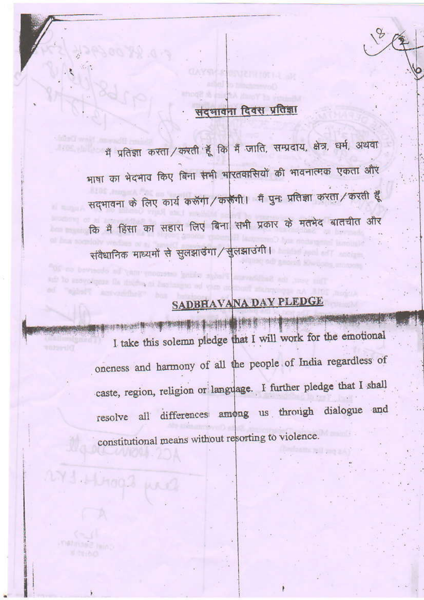### संदभावना दिवस प्रतिज्ञा

मैं प्रतिज्ञा करता / करती हूँ कि मैं जाति, सम्प्रदाय, क्षेत्र, धर्म, अथवा भाषा का भेदभाव किए बिना सभी भारतवासियों की भावनात्मक एकता और सदभावना के लिए कार्य करूँगा / करूँगी। मैं पुनः प्रतिज्ञा करता / करती हूँ कि मैं हिंसा का सहारा लिए बिना सभी प्रकार के मतभेद बातचीत और संवैधानिक माध्यमों से सुलझाउँगा / सुलझाउँगी।

## SADBHAVANA DAY PLEDGE

**的名词复数 计数据 医神经性** 图像标志员的设计替归的制度 网络树黄树 看出时候 I take this solemn pledge that I will work for the emotional oneness and harmony of all the people of India regardless of caste, region, religion or language. I further pledge that I shall resolve all differences among us through dialogue and constitutional means without resorting to violence.

273 Horas un